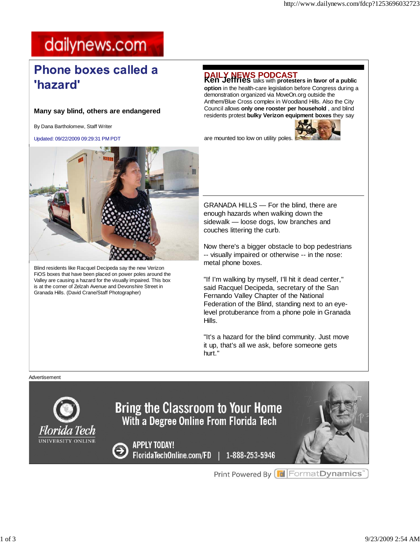### dailynews.com

### **Phone boxes called a** 'hazard'

### **Many say blind, others are endangered**

By Dana Bartholomew, Staff Writer

Updated: 09/22/2009 09:29:31 PM PDT



**option** in the health-care legislation before Congress during a demonstration organized via MoveOn.org outside the Anthem/Blue Cross complex in Woodland Hills. Also the City Council allows **only one rooster per household** , and blind residents protest **bulky Verizon equipment boxes** they say

are mounted too low on utility poles.





Blind residents like Racquel Decipeda say the new Verizon FiOS boxes that have been placed on power poles around the Valley are causing a hazard for the visually impaired. This box is at the corner of Zelzah Avenue and Devonshire Street in Granada Hills. (David Crane/Staff Photographer)

GRANADA HILLS — For the blind, there are enough hazards when walking down the sidewalk — loose dogs, low branches and couches littering the curb.

Now there's a bigger obstacle to bop pedestrians -- visually impaired or otherwise -- in the nose: metal phone boxes.

"If I'm walking by myself, I'll hit it dead center," said Racquel Decipeda, secretary of the San Fernando Valley Chapter of the National Federation of the Blind, standing next to an eyelevel protuberance from a phone pole in Granada Hills.

"It's a hazard for the blind community. Just move it up, that's all we ask, before someone gets hurt."

#### Advertisement



Print Powered By **F** Format Dynamics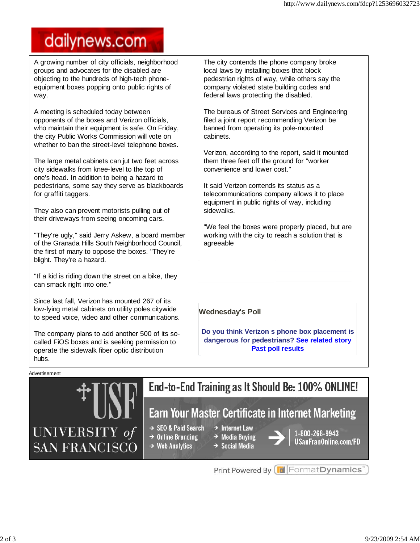# dailynews.com

A growing number of city officials, neighborhood groups and advocates for the disabled are objecting to the hundreds of high-tech phoneequipment boxes popping onto public rights of way.

A meeting is scheduled today between opponents of the boxes and Verizon officials, who maintain their equipment is safe. On Friday, the city Public Works Commission will vote on whether to ban the street-level telephone boxes.

The large metal cabinets can jut two feet across city sidewalks from knee-level to the top of one's head. In addition to being a hazard to pedestrians, some say they serve as blackboards for graffiti taggers.

They also can prevent motorists pulling out of their driveways from seeing oncoming cars.

"They're ugly," said Jerry Askew, a board member of the Granada Hills South Neighborhood Council, the first of many to oppose the boxes. "They're blight. They're a hazard.

"If a kid is riding down the street on a bike, they can smack right into one."

Since last fall, Verizon has mounted 267 of its low-lying metal cabinets on utility poles citywide to speed voice, video and other communications.

The company plans to add another 500 of its socalled FiOS boxes and is seeking permission to operate the sidewalk fiber optic distribution hubs.

The city contends the phone company broke local laws by installing boxes that block pedestrian rights of way, while others say the company violated state building codes and federal laws protecting the disabled.

The bureaus of Street Services and Engineering filed a joint report recommending Verizon be banned from operating its pole-mounted cabinets.

Verizon, according to the report, said it mounted them three feet off the ground for "worker convenience and lower cost."

It said Verizon contends its status as a telecommunications company allows it to place equipment in public rights of way, including sidewalks.

"We feel the boxes were properly placed, but are working with the city to reach a solution that is agreeable

**Wednesday's Poll**

**Do you think Verizon s phone box placement is dangerous for pedestrians? See related story Past poll results**

#### Advertisement



Print Powered By FormatDynamics